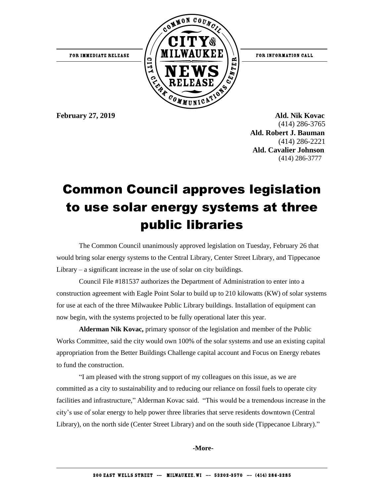

**February 27, 2019 Ald. Nik Kovac** (414) 286-3765  **Ald. Robert J. Bauman** (414) 286-2221 **Ald. Cavalier Johnson** (414) 286-3777

## Common Council approves legislation to use solar energy systems at three public libraries

The Common Council unanimously approved legislation on Tuesday, February 26 that would bring solar energy systems to the Central Library, Center Street Library, and Tippecanoe Library – a significant increase in the use of solar on city buildings.

Council File #181537 authorizes the Department of Administration to enter into a construction agreement with Eagle Point Solar to build up to 210 kilowatts (KW) of solar systems for use at each of the three Milwaukee Public Library buildings. Installation of equipment can now begin, with the systems projected to be fully operational later this year.

**Alderman Nik Kovac,** primary sponsor of the legislation and member of the Public Works Committee, said the city would own 100% of the solar systems and use an existing capital appropriation from the Better Buildings Challenge capital account and Focus on Energy rebates to fund the construction.

"I am pleased with the strong support of my colleagues on this issue, as we are committed as a city to sustainability and to reducing our reliance on fossil fuels to operate city facilities and infrastructure," Alderman Kovac said. "This would be a tremendous increase in the city's use of solar energy to help power three libraries that serve residents downtown (Central Library), on the north side (Center Street Library) and on the south side (Tippecanoe Library)."

**-More-**